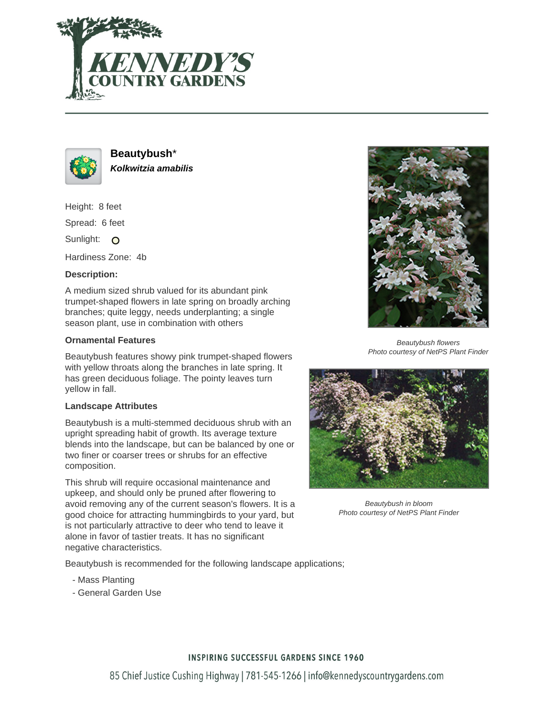



**Beautybush**\* **Kolkwitzia amabilis**

Height: 8 feet

Spread: 6 feet

Sunlight: O

Hardiness Zone: 4b

### **Description:**

A medium sized shrub valued for its abundant pink trumpet-shaped flowers in late spring on broadly arching branches; quite leggy, needs underplanting; a single season plant, use in combination with others

#### **Ornamental Features**

Beautybush features showy pink trumpet-shaped flowers with yellow throats along the branches in late spring. It has green deciduous foliage. The pointy leaves turn yellow in fall.

#### **Landscape Attributes**

Beautybush is a multi-stemmed deciduous shrub with an upright spreading habit of growth. Its average texture blends into the landscape, but can be balanced by one or two finer or coarser trees or shrubs for an effective composition.

This shrub will require occasional maintenance and upkeep, and should only be pruned after flowering to avoid removing any of the current season's flowers. It is a good choice for attracting hummingbirds to your yard, but is not particularly attractive to deer who tend to leave it alone in favor of tastier treats. It has no significant negative characteristics.

Beautybush is recommended for the following landscape applications;

- Mass Planting
- General Garden Use



Beautybush flowers Photo courtesy of NetPS Plant Finder



Beautybush in bloom Photo courtesy of NetPS Plant Finder

# **INSPIRING SUCCESSFUL GARDENS SINCE 1960**